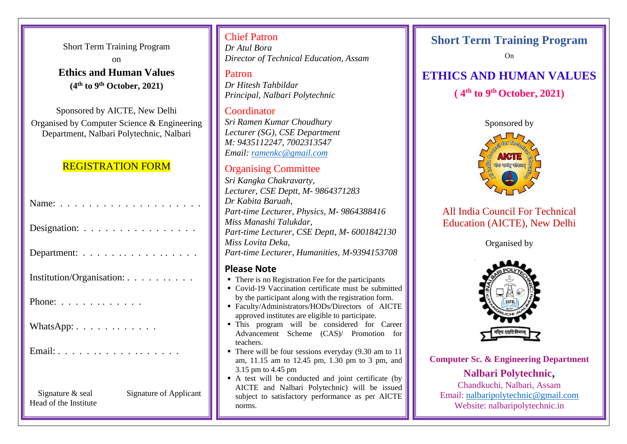Short Term Training Program on **Ethics and Human Values (4 th to 9 th October, 2021)**

Sponsored by AICTE, New Delhi Organised by Computer Science & Engineering Department, Nalbari Polytechnic, Nalbari

### REGISTRATION FORM

| Designation:                                                        |
|---------------------------------------------------------------------|
| Department:                                                         |
| Institution/Organisation:                                           |
| Phone: $\ldots$                                                     |
| WhatsApp: $\dots \dots \dots \dots$                                 |
| Email:                                                              |
|                                                                     |
| Signature & seal<br>Signature of Applicant<br>Head of the Institute |

### Chief Patron

*Dr Atul Bora Director of Technical Education, Assam*

Patron *Dr Hitesh Tahbildar Principal, Nalbari Polytechnic*

Coordinator *Sri Ramen Kumar Choudhury Lecturer (SG), CSE Department M: 9435112247, 7002313547 Email: [ramenkc@gmail.com](mailto:ramenkc@gmail.com)*

### Organising Committee

*Sri Kangka Chakravarty, Lecturer, CSE Deptt, M- 9864371283 Dr Kabita Baruah, Part-time Lecturer, Physics, M- 9864388416 Miss Manashi Talukdar, Part-time Lecturer, CSE Deptt, M- 6001842130 Miss Lovita Deka, Part-time Lecturer, Humanities, M-9394153708*

### **Please Note**

- There is no Registration Fee for the participants
- Covid-19 Vaccination certificate must be submitted by the participant along with the registration form.
- Faculty/Administrators/HODs/Directors of AICTE approved institutes are eligible to participate.
- **This program will be considered for Career** Advancement Scheme (CAS)/ Promotion for teachers.
- $\blacksquare$  There will be four sessions everyday (9.30 am to 11 am, 11.15 am to 12.45 pm, 1.30 pm to 3 pm, and 3.15 pm to 4.45 pm
- A test will be conducted and joint certificate (by AICTE and Nalbari Polytechnic) will be issued subject to satisfactory performance as per AICTE norms.

## **Short Term Training Program**

On

# **ETHICS AND HUMAN VALUES**

# **( 4 th to 9 th October, 2021)**



# All India Council For Technical Education (AICTE), New Delhi

Organised by



**Computer Sc. & Engineering Department**

### **Nalbari Polytechnic**,

Chandkuchi, Nalbari, Assam Email: [nalbaripolytechnic@gmail.com](mailto:nalbaripolytechnic@gmail.com) Website: nalbaripolytechnic.in